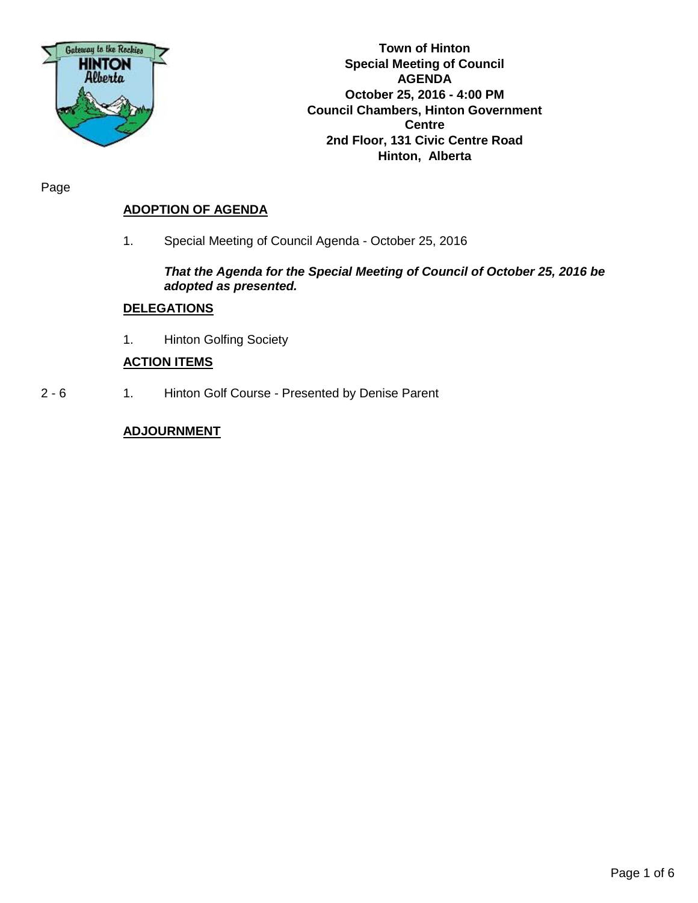

**Town of Hinton Special Meeting of Council AGENDA October 25, 2016 - 4:00 PM Council Chambers, Hinton Government Centre 2nd Floor, 131 Civic Centre Road Hinton, Alberta**

Page

# **ADOPTION OF AGENDA**

1. Special Meeting of Council Agenda - October 25, 2016

## *That the Agenda for the Special Meeting of Council of October 25, 2016 be adopted as presented.*

## **DELEGATIONS**

1. Hinton Golfing Society

## **ACTION ITEMS**

2 - 6 1. Hinton Golf Course - Presented by Denise Parent

## **ADJOURNMENT**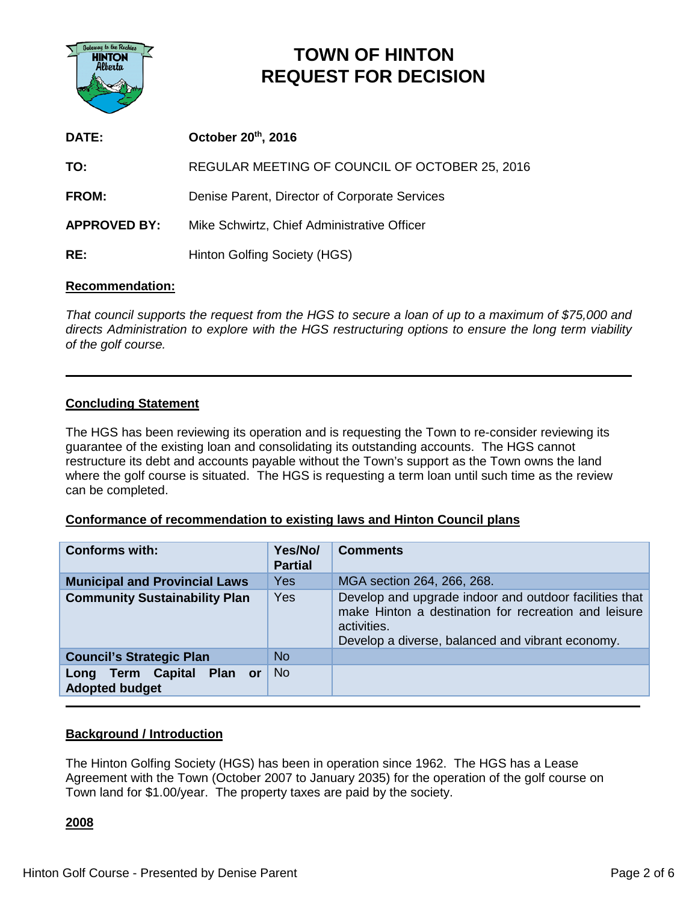

# **TOWN OF HINTON REQUEST FOR DECISION**

| DATE:               | October 20th, 2016                             |
|---------------------|------------------------------------------------|
| TO:                 | REGULAR MEETING OF COUNCIL OF OCTOBER 25, 2016 |
| <b>FROM:</b>        | Denise Parent, Director of Corporate Services  |
| <b>APPROVED BY:</b> | Mike Schwirtz, Chief Administrative Officer    |
| RE:                 | Hinton Golfing Society (HGS)                   |

## **Recommendation:**

*That council supports the request from the HGS to secure a loan of up to a maximum of \$75,000 and directs Administration to explore with the HGS restructuring options to ensure the long term viability of the golf course.*

## **Concluding Statement**

The HGS has been reviewing its operation and is requesting the Town to re-consider reviewing its guarantee of the existing loan and consolidating its outstanding accounts. The HGS cannot restructure its debt and accounts payable without the Town's support as the Town owns the land where the golf course is situated. The HGS is requesting a term loan until such time as the review can be completed.

## **Conformance of recommendation to existing laws and Hinton Council plans**

| <b>Conforms with:</b>                                 | Yes/No/<br><b>Partial</b> | <b>Comments</b>                                                                                                                                                                   |  |  |  |  |
|-------------------------------------------------------|---------------------------|-----------------------------------------------------------------------------------------------------------------------------------------------------------------------------------|--|--|--|--|
| <b>Municipal and Provincial Laws</b>                  | Yes                       | MGA section 264, 266, 268.                                                                                                                                                        |  |  |  |  |
| <b>Community Sustainability Plan</b>                  | Yes                       | Develop and upgrade indoor and outdoor facilities that<br>make Hinton a destination for recreation and leisure<br>activities.<br>Develop a diverse, balanced and vibrant economy. |  |  |  |  |
| <b>Council's Strategic Plan</b>                       | <b>No</b>                 |                                                                                                                                                                                   |  |  |  |  |
| Long Term Capital<br>Plan or<br><b>Adopted budget</b> | <b>No</b>                 |                                                                                                                                                                                   |  |  |  |  |

## **Background / Introduction**

The Hinton Golfing Society (HGS) has been in operation since 1962. The HGS has a Lease Agreement with the Town (October 2007 to January 2035) for the operation of the golf course on Town land for \$1.00/year. The property taxes are paid by the society.

## **2008**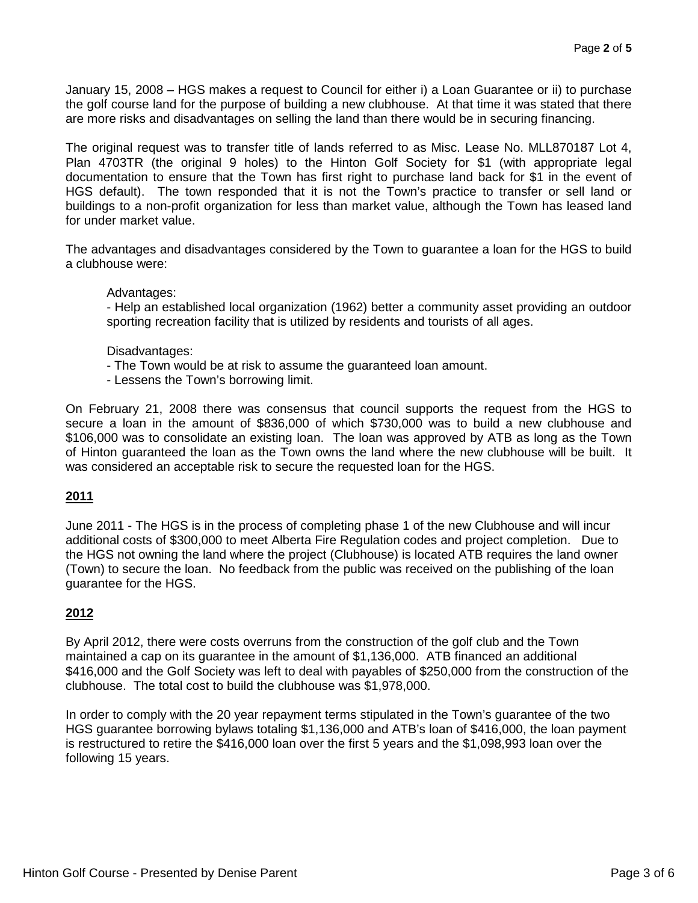January 15, 2008 – HGS makes a request to Council for either i) a Loan Guarantee or ii) to purchase the golf course land for the purpose of building a new clubhouse. At that time it was stated that there are more risks and disadvantages on selling the land than there would be in securing financing.

The original request was to transfer title of lands referred to as Misc. Lease No. MLL870187 Lot 4, Plan 4703TR (the original 9 holes) to the Hinton Golf Society for \$1 (with appropriate legal documentation to ensure that the Town has first right to purchase land back for \$1 in the event of HGS default). The town responded that it is not the Town's practice to transfer or sell land or buildings to a non-profit organization for less than market value, although the Town has leased land for under market value.

The advantages and disadvantages considered by the Town to guarantee a loan for the HGS to build a clubhouse were:

#### Advantages:

- Help an established local organization (1962) better a community asset providing an outdoor sporting recreation facility that is utilized by residents and tourists of all ages.

#### Disadvantages:

- The Town would be at risk to assume the guaranteed loan amount.
- Lessens the Town's borrowing limit.

On February 21, 2008 there was consensus that council supports the request from the HGS to secure a loan in the amount of \$836,000 of which \$730,000 was to build a new clubhouse and \$106,000 was to consolidate an existing loan. The loan was approved by ATB as long as the Town of Hinton guaranteed the loan as the Town owns the land where the new clubhouse will be built. It was considered an acceptable risk to secure the requested loan for the HGS.

## **2011**

June 2011 - The HGS is in the process of completing phase 1 of the new Clubhouse and will incur additional costs of \$300,000 to meet Alberta Fire Regulation codes and project completion. Due to the HGS not owning the land where the project (Clubhouse) is located ATB requires the land owner (Town) to secure the loan. No feedback from the public was received on the publishing of the loan guarantee for the HGS.

## **2012**

By April 2012, there were costs overruns from the construction of the golf club and the Town maintained a cap on its guarantee in the amount of \$1,136,000. ATB financed an additional \$416,000 and the Golf Society was left to deal with payables of \$250,000 from the construction of the clubhouse. The total cost to build the clubhouse was \$1,978,000.

In order to comply with the 20 year repayment terms stipulated in the Town's guarantee of the two HGS guarantee borrowing bylaws totaling \$1,136,000 and ATB's loan of \$416,000, the loan payment is restructured to retire the \$416,000 loan over the first 5 years and the \$1,098,993 loan over the following 15 years.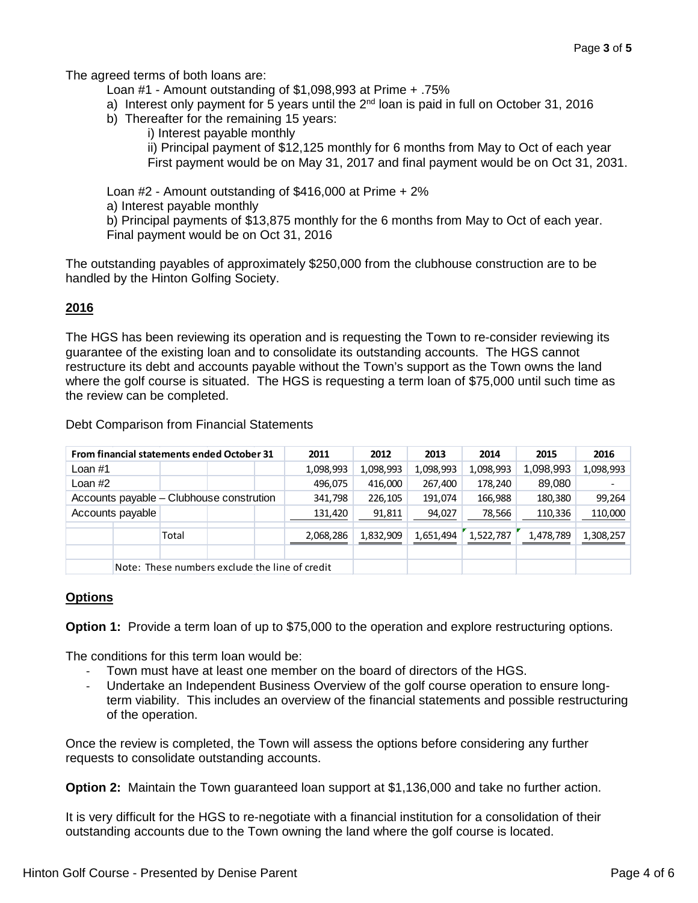The agreed terms of both loans are:

- Loan #1 Amount outstanding of \$1,098,993 at Prime + .75%
- a) Interest only payment for 5 years until the  $2<sup>nd</sup>$  loan is paid in full on October 31, 2016
- b) Thereafter for the remaining 15 years:
	- i) Interest payable monthly

ii) Principal payment of \$12,125 monthly for 6 months from May to Oct of each year First payment would be on May 31, 2017 and final payment would be on Oct 31, 2031.

Loan #2 - Amount outstanding of \$416,000 at Prime + 2% a) Interest payable monthly b) Principal payments of \$13,875 monthly for the 6 months from May to Oct of each year. Final payment would be on Oct 31, 2016

The outstanding payables of approximately \$250,000 from the clubhouse construction are to be handled by the Hinton Golfing Society.

## **2016**

The HGS has been reviewing its operation and is requesting the Town to re-consider reviewing its guarantee of the existing loan and to consolidate its outstanding accounts. The HGS cannot restructure its debt and accounts payable without the Town's support as the Town owns the land where the golf course is situated. The HGS is requesting a term loan of \$75,000 until such time as the review can be completed.

| From financial statements ended October 31<br>2011 |  |       | 2012 | 2013    | 2014      | 2015      | 2016      |           |           |           |
|----------------------------------------------------|--|-------|------|---------|-----------|-----------|-----------|-----------|-----------|-----------|
| Loan $#1$                                          |  |       |      |         | 1,098,993 | 1,098,993 | 1,098,993 | 1,098,993 | 1,098,993 | 1,098,993 |
| Loan $#2$                                          |  |       |      |         | 496,075   | 416,000   | 267,400   | 178,240   | 89,080    |           |
| Accounts payable – Clubhouse constrution           |  |       |      | 341,798 | 226,105   | 191,074   | 166,988   | 180,380   | 99,264    |           |
| Accounts payable                                   |  |       |      |         | 131,420   | 91,811    | 94,027    | 78,566    | 110,336   | 110,000   |
|                                                    |  | Total |      |         | 2,068,286 | 1,832,909 | 1,651,494 | 1,522,787 | 1,478,789 | 1,308,257 |
|                                                    |  |       |      |         |           |           |           |           |           |           |
| Note: These numbers exclude the line of credit     |  |       |      |         |           |           |           |           |           |           |

Debt Comparison from Financial Statements

# **Options**

**Option 1:** Provide a term loan of up to \$75,000 to the operation and explore restructuring options.

The conditions for this term loan would be:

- Town must have at least one member on the board of directors of the HGS.
- Undertake an Independent Business Overview of the golf course operation to ensure longterm viability. This includes an overview of the financial statements and possible restructuring of the operation.

Once the review is completed, the Town will assess the options before considering any further requests to consolidate outstanding accounts.

**Option 2:** Maintain the Town guaranteed loan support at \$1,136,000 and take no further action.

It is very difficult for the HGS to re-negotiate with a financial institution for a consolidation of their outstanding accounts due to the Town owning the land where the golf course is located.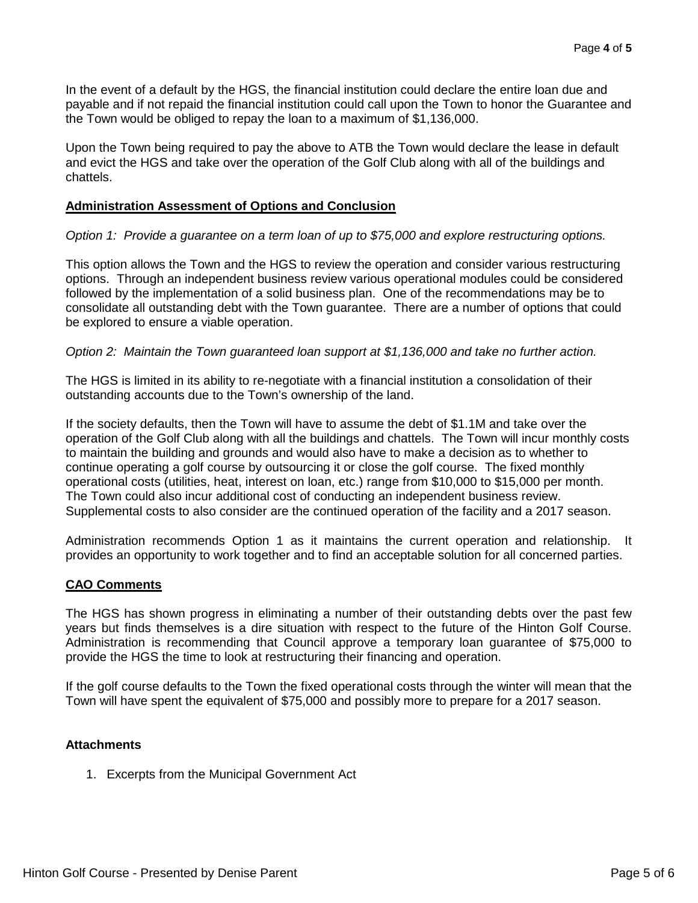In the event of a default by the HGS, the financial institution could declare the entire loan due and payable and if not repaid the financial institution could call upon the Town to honor the Guarantee and the Town would be obliged to repay the loan to a maximum of \$1,136,000.

Upon the Town being required to pay the above to ATB the Town would declare the lease in default and evict the HGS and take over the operation of the Golf Club along with all of the buildings and chattels.

## **Administration Assessment of Options and Conclusion**

## *Option 1: Provide a guarantee on a term loan of up to \$75,000 and explore restructuring options.*

This option allows the Town and the HGS to review the operation and consider various restructuring options. Through an independent business review various operational modules could be considered followed by the implementation of a solid business plan. One of the recommendations may be to consolidate all outstanding debt with the Town guarantee. There are a number of options that could be explored to ensure a viable operation.

## *Option 2: Maintain the Town guaranteed loan support at \$1,136,000 and take no further action.*

The HGS is limited in its ability to re-negotiate with a financial institution a consolidation of their outstanding accounts due to the Town's ownership of the land.

If the society defaults, then the Town will have to assume the debt of \$1.1M and take over the operation of the Golf Club along with all the buildings and chattels. The Town will incur monthly costs to maintain the building and grounds and would also have to make a decision as to whether to continue operating a golf course by outsourcing it or close the golf course. The fixed monthly operational costs (utilities, heat, interest on loan, etc.) range from \$10,000 to \$15,000 per month. The Town could also incur additional cost of conducting an independent business review. Supplemental costs to also consider are the continued operation of the facility and a 2017 season.

Administration recommends Option 1 as it maintains the current operation and relationship. It provides an opportunity to work together and to find an acceptable solution for all concerned parties.

## **CAO Comments**

The HGS has shown progress in eliminating a number of their outstanding debts over the past few years but finds themselves is a dire situation with respect to the future of the Hinton Golf Course. Administration is recommending that Council approve a temporary loan guarantee of \$75,000 to provide the HGS the time to look at restructuring their financing and operation.

If the golf course defaults to the Town the fixed operational costs through the winter will mean that the Town will have spent the equivalent of \$75,000 and possibly more to prepare for a 2017 season.

#### **Attachments**

1. Excerpts from the Municipal Government Act